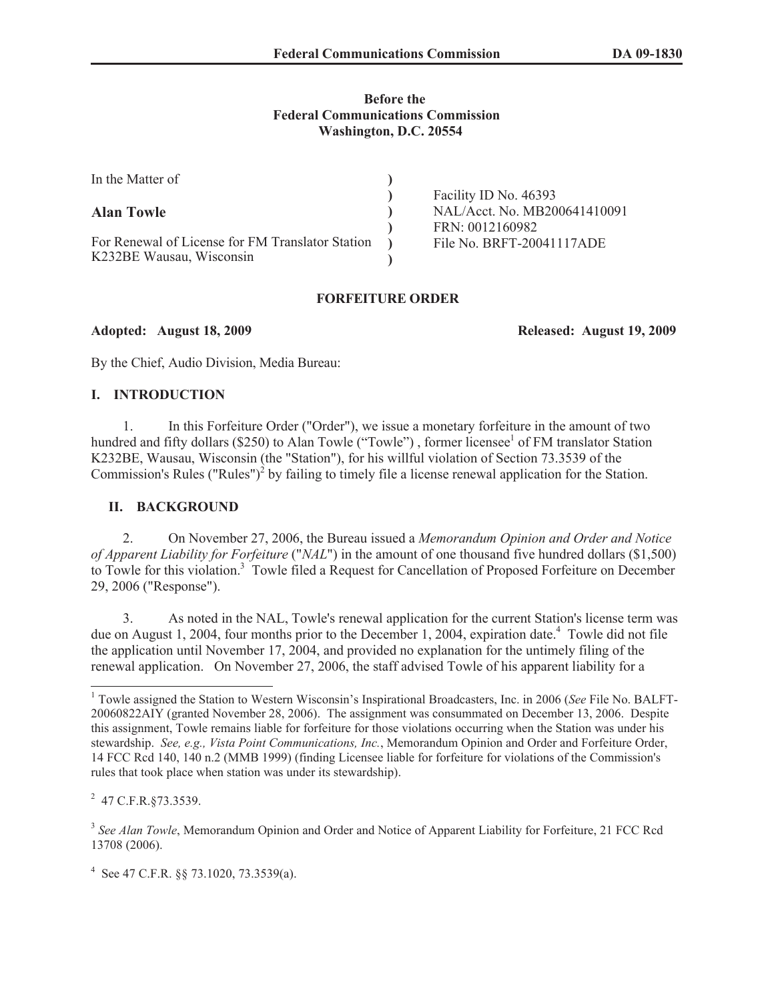# **Before the Federal Communications Commission Washington, D.C. 20554**

| In the Matter of                                 |                              |
|--------------------------------------------------|------------------------------|
|                                                  | Facility ID No. 46393        |
| <b>Alan Towle</b>                                | NAL/Acct. No. MB200641410091 |
|                                                  | FRN: 0012160982              |
| For Renewal of License for FM Translator Station | File No. BRFT-20041117ADE    |
| K232BE Wausau, Wisconsin                         |                              |

# **FORFEITURE ORDER**

**Adopted: August 18, 2009 Released: August 19, 2009**

By the Chief, Audio Division, Media Bureau:

#### **I. INTRODUCTION**

1. In this Forfeiture Order ("Order"), we issue a monetary forfeiture in the amount of two hundred and fifty dollars (\$250) to Alan Towle ("Towle"), former licensee<sup>1</sup> of FM translator Station K232BE, Wausau, Wisconsin (the "Station"), for his willful violation of Section 73.3539 of the Commission's Rules ("Rules")<sup>2</sup> by failing to timely file a license renewal application for the Station.

### **II. BACKGROUND**

2. On November 27, 2006, the Bureau issued a *Memorandum Opinion and Order and Notice of Apparent Liability for Forfeiture* ("*NAL*") in the amount of one thousand five hundred dollars (\$1,500) to Towle for this violation.<sup>3</sup> Towle filed a Request for Cancellation of Proposed Forfeiture on December 29, 2006 ("Response").

3. As noted in the NAL, Towle's renewal application for the current Station's license term was due on August 1, 2004, four months prior to the December 1, 2004, expiration date.<sup>4</sup> Towle did not file the application until November 17, 2004, and provided no explanation for the untimely filing of the renewal application. On November 27, 2006, the staff advised Towle of his apparent liability for a

4 See 47 C.F.R. §§ 73.1020, 73.3539(a).

<sup>1</sup> Towle assigned the Station to Western Wisconsin's Inspirational Broadcasters, Inc. in 2006 (*See* File No. BALFT-20060822AIY (granted November 28, 2006). The assignment was consummated on December 13, 2006. Despite this assignment, Towle remains liable for forfeiture for those violations occurring when the Station was under his stewardship. *See, e.g., Vista Point Communications, Inc.*, Memorandum Opinion and Order and Forfeiture Order, 14 FCC Rcd 140, 140 n.2 (MMB 1999) (finding Licensee liable for forfeiture for violations of the Commission's rules that took place when station was under its stewardship).

<sup>&</sup>lt;sup>2</sup> 47 C.F.R.§73.3539.

<sup>&</sup>lt;sup>3</sup> See Alan Towle, Memorandum Opinion and Order and Notice of Apparent Liability for Forfeiture, 21 FCC Rcd 13708 (2006).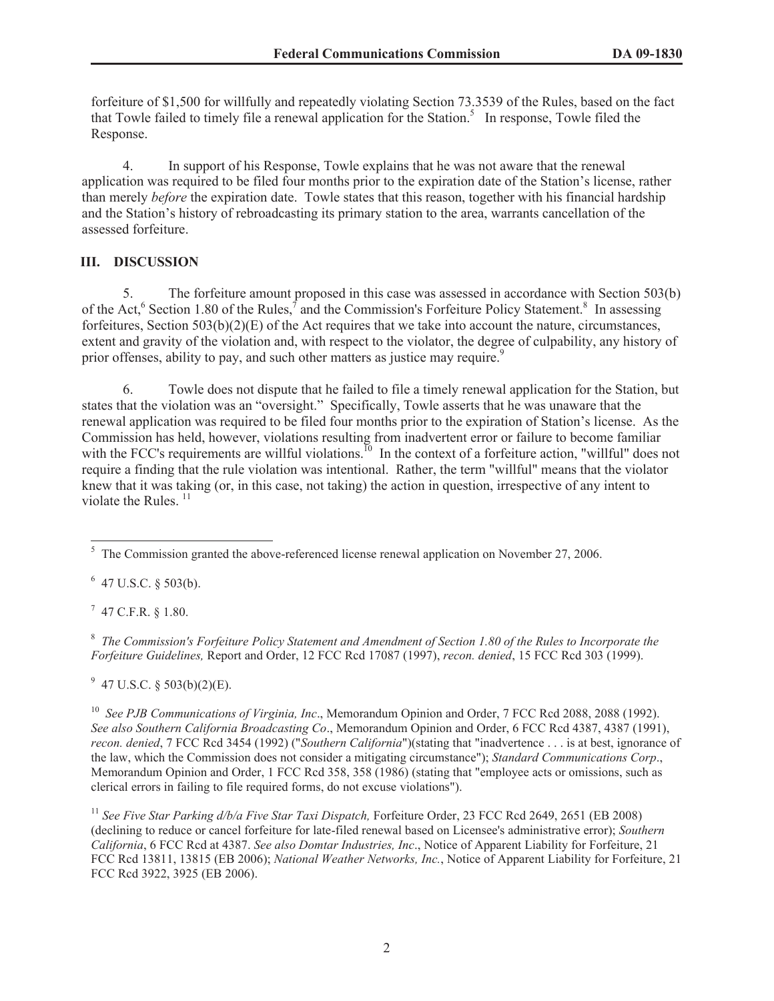forfeiture of \$1,500 for willfully and repeatedly violating Section 73.3539 of the Rules, based on the fact that Towle failed to timely file a renewal application for the Station.<sup>5</sup> In response, Towle filed the Response.

4. In support of his Response, Towle explains that he was not aware that the renewal application was required to be filed four months prior to the expiration date of the Station's license, rather than merely *before* the expiration date. Towle states that this reason, together with his financial hardship and the Station's history of rebroadcasting its primary station to the area, warrants cancellation of the assessed forfeiture.

# **III. DISCUSSION**

5. The forfeiture amount proposed in this case was assessed in accordance with Section 503(b) of the Act,<sup>6</sup> Section 1.80 of the Rules,<sup>7</sup> and the Commission's Forfeiture Policy Statement.<sup>8</sup> In assessing forfeitures, Section  $503(b)(2)(E)$  of the Act requires that we take into account the nature, circumstances, extent and gravity of the violation and, with respect to the violator, the degree of culpability, any history of prior offenses, ability to pay, and such other matters as justice may require.<sup>9</sup>

6. Towle does not dispute that he failed to file a timely renewal application for the Station, but states that the violation was an "oversight." Specifically, Towle asserts that he was unaware that the renewal application was required to be filed four months prior to the expiration of Station's license. As the Commission has held, however, violations resulting from inadvertent error or failure to become familiar with the FCC's requirements are willful violations.<sup>10</sup> In the context of a forfeiture action, "willful" does not require a finding that the rule violation was intentional. Rather, the term "willful" means that the violator knew that it was taking (or, in this case, not taking) the action in question, irrespective of any intent to violate the Rules.<sup>11</sup>

 $6$  47 U.S.C. § 503(b).

 $7$  47 C.F.R. § 1.80.

8 *The Commission's Forfeiture Policy Statement and Amendment of Section 1.80 of the Rules to Incorporate the Forfeiture Guidelines,* Report and Order, 12 FCC Rcd 17087 (1997), *recon. denied*, 15 FCC Rcd 303 (1999).

 $9\,$  47 U.S.C. § 503(b)(2)(E).

<sup>10</sup> *See PJB Communications of Virginia, Inc*., Memorandum Opinion and Order, 7 FCC Rcd 2088, 2088 (1992). *See also Southern California Broadcasting Co*., Memorandum Opinion and Order, 6 FCC Rcd 4387, 4387 (1991), *recon. denied*, 7 FCC Rcd 3454 (1992) ("*Southern California*")(stating that "inadvertence . . . is at best, ignorance of the law, which the Commission does not consider a mitigating circumstance"); *Standard Communications Corp*., Memorandum Opinion and Order, 1 FCC Rcd 358, 358 (1986) (stating that "employee acts or omissions, such as clerical errors in failing to file required forms, do not excuse violations").

<sup>11</sup> See Five Star Parking d/b/a Five Star Taxi Dispatch, Forfeiture Order, 23 FCC Rcd 2649, 2651 (EB 2008) (declining to reduce or cancel forfeiture for late-filed renewal based on Licensee's administrative error); *Southern California*, 6 FCC Rcd at 4387. *See also Domtar Industries, Inc*., Notice of Apparent Liability for Forfeiture, 21 FCC Rcd 13811, 13815 (EB 2006); *National Weather Networks, Inc.*, Notice of Apparent Liability for Forfeiture, 21 FCC Rcd 3922, 3925 (EB 2006).

 $5$  The Commission granted the above-referenced license renewal application on November 27, 2006.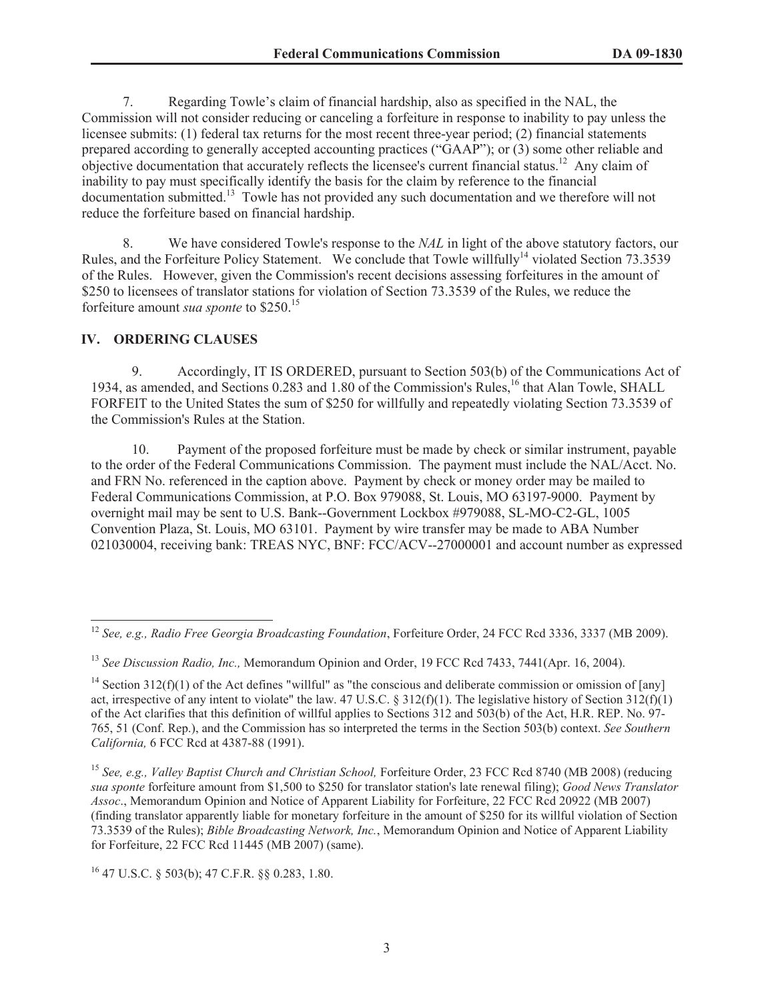7. Regarding Towle's claim of financial hardship, also as specified in the NAL, the Commission will not consider reducing or canceling a forfeiture in response to inability to pay unless the licensee submits: (1) federal tax returns for the most recent three-year period; (2) financial statements prepared according to generally accepted accounting practices ("GAAP"); or (3) some other reliable and objective documentation that accurately reflects the licensee's current financial status.<sup>12</sup> Any claim of inability to pay must specifically identify the basis for the claim by reference to the financial documentation submitted.<sup>13</sup> Towle has not provided any such documentation and we therefore will not reduce the forfeiture based on financial hardship.

8. We have considered Towle's response to the *NAL* in light of the above statutory factors, our Rules, and the Forfeiture Policy Statement. We conclude that Towle willfully<sup>14</sup> violated Section 73.3539 of the Rules. However, given the Commission's recent decisions assessing forfeitures in the amount of \$250 to licensees of translator stations for violation of Section 73.3539 of the Rules, we reduce the forfeiture amount *sua sponte* to \$250.<sup>15</sup>

# **IV. ORDERING CLAUSES**

9. Accordingly, IT IS ORDERED, pursuant to Section 503(b) of the Communications Act of 1934, as amended, and Sections 0.283 and 1.80 of the Commission's Rules,<sup>16</sup> that Alan Towle, SHALL FORFEIT to the United States the sum of \$250 for willfully and repeatedly violating Section 73.3539 of the Commission's Rules at the Station.

10. Payment of the proposed forfeiture must be made by check or similar instrument, payable to the order of the Federal Communications Commission. The payment must include the NAL/Acct. No. and FRN No. referenced in the caption above. Payment by check or money order may be mailed to Federal Communications Commission, at P.O. Box 979088, St. Louis, MO 63197-9000. Payment by overnight mail may be sent to U.S. Bank--Government Lockbox #979088, SL-MO-C2-GL, 1005 Convention Plaza, St. Louis, MO 63101. Payment by wire transfer may be made to ABA Number 021030004, receiving bank: TREAS NYC, BNF: FCC/ACV--27000001 and account number as expressed

<sup>16</sup> 47 U.S.C. § 503(b); 47 C.F.R. §§ 0.283, 1.80.

<sup>12</sup> *See, e.g., Radio Free Georgia Broadcasting Foundation*, Forfeiture Order, 24 FCC Rcd 3336, 3337 (MB 2009).

<sup>13</sup> *See Discussion Radio, Inc.,* Memorandum Opinion and Order, 19 FCC Rcd 7433, 7441(Apr. 16, 2004).

<sup>&</sup>lt;sup>14</sup> Section 312(f)(1) of the Act defines "willful" as "the conscious and deliberate commission or omission of [any] act, irrespective of any intent to violate" the law. 47 U.S.C. § 312(f)(1). The legislative history of Section 312(f)(1) of the Act clarifies that this definition of willful applies to Sections 312 and 503(b) of the Act, H.R. REP. No. 97- 765, 51 (Conf. Rep.), and the Commission has so interpreted the terms in the Section 503(b) context. *See Southern California,* 6 FCC Rcd at 4387-88 (1991).

<sup>15</sup> *See, e.g., Valley Baptist Church and Christian School,* Forfeiture Order, 23 FCC Rcd 8740 (MB 2008) (reducing *sua sponte* forfeiture amount from \$1,500 to \$250 for translator station's late renewal filing); *Good News Translator Assoc*., Memorandum Opinion and Notice of Apparent Liability for Forfeiture, 22 FCC Rcd 20922 (MB 2007) (finding translator apparently liable for monetary forfeiture in the amount of \$250 for its willful violation of Section 73.3539 of the Rules); *Bible Broadcasting Network, Inc.*, Memorandum Opinion and Notice of Apparent Liability for Forfeiture, 22 FCC Rcd 11445 (MB 2007) (same).